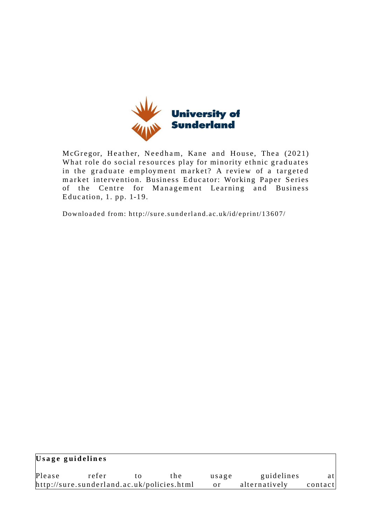

McGregor, Heather, Needham, Kane and House, Thea (2021) What role do social resources play for minority ethnic graduates in the graduate employment market? A review of a targeted market intervention. Business Educator: Working Paper Series of the Centre for Management Learning and Business Education,  $1.$  pp.  $1-19.$ 

Downloaded from: http://sure.sunderland.ac.uk/id/eprint/13607/

| Usage guidelines |                                            |    |        |            |               |         |
|------------------|--------------------------------------------|----|--------|------------|---------------|---------|
| Please           | refer                                      | tΩ | t h el | usage      | guidelines    | atl     |
|                  | http://sure.sunderland.ac.uk/policies.html |    |        | $\alpha$ r | alternatively | contact |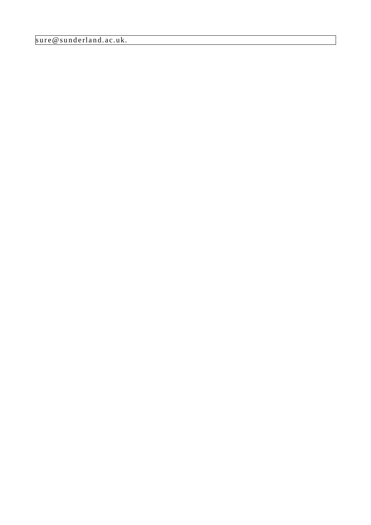sure@sunderland.ac.uk.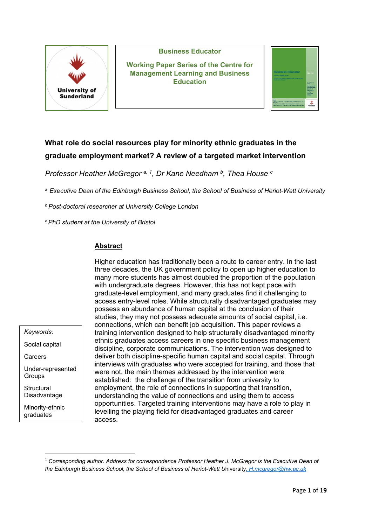

#### **Business Educator**

**Working Paper Series of the Centre for Management Learning and Business Education**

| <b>Business Educator</b>                                                     | <b>Basic City</b><br><b>Basic 2021</b> |
|------------------------------------------------------------------------------|----------------------------------------|
|                                                                              |                                        |
| <b>Working Paper Series</b>                                                  |                                        |
| Responds Centre for Museocracial Learning and<br><b>Basicas Education</b>    |                                        |
|                                                                              |                                        |
|                                                                              | Factor Color de                        |
|                                                                              | Memperocol<br>Learning and             |
|                                                                              | <b>REMARK</b>                          |
|                                                                              | Education<br>denkey.                   |
|                                                                              | <b>Zentenburgh</b><br><b>Three</b>     |
|                                                                              |                                        |
| <b>Gentle</b>                                                                |                                        |
| To the problem should be departed at a base to shall be a more as and        |                                        |
| OF LODG OF HIGH-RITH ATMOSPAN CHOICE CALIFORNIA STOCK EDGES INTO             |                                        |
| Constitution 2012 to the advantage for the change of the constitution of the | introvational<br>Technologist          |

# **What role do social resources play for minority ethnic graduates in the graduate employment market? A review of a targeted market intervention**

*Professor Heather McGregor a, [1](#page-2-0), Dr Kane Needham b, Thea House <sup>c</sup>*

*a Executive Dean of the Edinburgh Business School, the School of Business of Heriot-Watt University*

*b Post-doctoral researcher at University College London*

*c PhD student at the University of Bristol*

#### **Abstract**

Higher education has traditionally been a route to career entry. In the last three decades, the UK government policy to open up higher education to many more students has almost doubled the proportion of the population with undergraduate degrees. However, this has not kept pace with graduate-level employment, and many graduates find it challenging to access entry-level roles. While structurally disadvantaged graduates may possess an abundance of human capital at the conclusion of their studies, they may not possess adequate amounts of social capital, i.e. connections, which can benefit job acquisition. This paper reviews a training intervention designed to help structurally disadvantaged minority ethnic graduates access careers in one specific business management discipline, corporate communications. The intervention was designed to deliver both discipline-specific human capital and social capital. Through interviews with graduates who were accepted for training, and those that were not, the main themes addressed by the intervention were established: the challenge of the transition from university to employment, the role of connections in supporting that transition, understanding the value of connections and using them to access opportunities. Targeted training interventions may have a role to play in levelling the playing field for disadvantaged graduates and career access.

*Keywords:*

Social capital

Careers

Under-represented Groups

**Structural** Disadvantage

Minority-ethnic graduates

<span id="page-2-0"></span><sup>1</sup> *Corresponding author. Address for correspondence Professor Heather J. McGregor is the Executive Dean of the Edinburgh Business School, the School of Business of Heriot-Watt U*niversity*. [H.mcgregor@hw.ac.uk](mailto:H.mcgregor@hw.ac.uk)*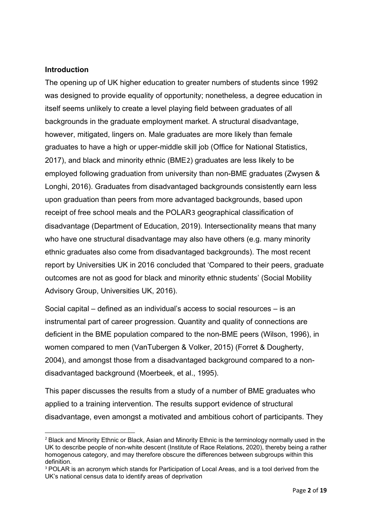#### **Introduction**

The opening up of UK higher education to greater numbers of students since 1992 was designed to provide equality of opportunity; nonetheless, a degree education in itself seems unlikely to create a level playing field between graduates of all backgrounds in the graduate employment market. A structural disadvantage, however, mitigated, lingers on. Male graduates are more likely than female graduates to have a high or upper-middle skill job (Office for National Statistics, 2017), and black and minority ethnic (BME[2](#page-3-0)) graduates are less likely to be employed following graduation from university than non-BME graduates (Zwysen & Longhi, 2016). Graduates from disadvantaged backgrounds consistently earn less upon graduation than peers from more advantaged backgrounds, based upon receipt of free school meals and the POLAR[3](#page-3-1) geographical classification of disadvantage (Department of Education, 2019). Intersectionality means that many who have one structural disadvantage may also have others (e.g. many minority ethnic graduates also come from disadvantaged backgrounds). The most recent report by Universities UK in 2016 concluded that 'Compared to their peers, graduate outcomes are not as good for black and minority ethnic students' (Social Mobility Advisory Group, Universities UK, 2016).

Social capital – defined as an individual's access to social resources – is an instrumental part of career progression. Quantity and quality of connections are deficient in the BME population compared to the non-BME peers (Wilson, 1996), in women compared to men (VanTubergen & Volker, 2015) (Forret & Dougherty, 2004), and amongst those from a disadvantaged background compared to a nondisadvantaged background (Moerbeek, et al., 1995).

This paper discusses the results from a study of a number of BME graduates who applied to a training intervention. The results support evidence of structural disadvantage, even amongst a motivated and ambitious cohort of participants. They

<span id="page-3-0"></span><sup>&</sup>lt;sup>2</sup> Black and Minority Ethnic or Black, Asian and Minority Ethnic is the terminology normally used in the UK to describe people of non-white descent (Institute of Race Relations, 2020), thereby being a rather homogenous category, and may therefore obscure the differences between subgroups within this definition.

<span id="page-3-1"></span><sup>&</sup>lt;sup>3</sup> POLAR is an acronym which stands for Participation of Local Areas, and is a tool derived from the UK's national census data to identify areas of deprivation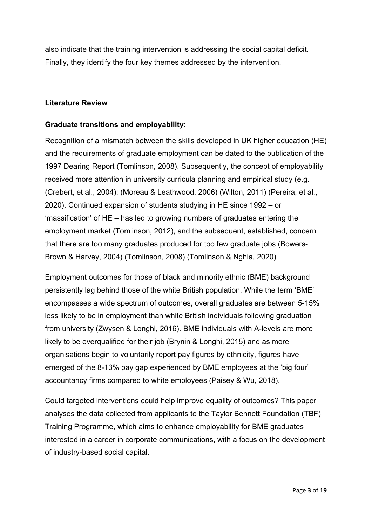also indicate that the training intervention is addressing the social capital deficit. Finally, they identify the four key themes addressed by the intervention.

#### **Literature Review**

#### **Graduate transitions and employability:**

Recognition of a mismatch between the skills developed in UK higher education (HE) and the requirements of graduate employment can be dated to the publication of the 1997 Dearing Report (Tomlinson, 2008). Subsequently, the concept of employability received more attention in university curricula planning and empirical study (e.g. (Crebert, et al., 2004); (Moreau & Leathwood, 2006) (Wilton, 2011) (Pereira, et al., 2020). Continued expansion of students studying in HE since 1992 – or 'massification' of HE – has led to growing numbers of graduates entering the employment market (Tomlinson, 2012), and the subsequent, established, concern that there are too many graduates produced for too few graduate jobs (Bowers-Brown & Harvey, 2004) (Tomlinson, 2008) (Tomlinson & Nghia, 2020)

Employment outcomes for those of black and minority ethnic (BME) background persistently lag behind those of the white British population. While the term 'BME' encompasses a wide spectrum of outcomes, overall graduates are between 5-15% less likely to be in employment than white British individuals following graduation from university (Zwysen & Longhi, 2016). BME individuals with A-levels are more likely to be overqualified for their job (Brynin & Longhi, 2015) and as more organisations begin to voluntarily report pay figures by ethnicity, figures have emerged of the 8-13% pay gap experienced by BME employees at the 'big four' accountancy firms compared to white employees (Paisey & Wu, 2018).

Could targeted interventions could help improve equality of outcomes? This paper analyses the data collected from applicants to the Taylor Bennett Foundation (TBF) Training Programme, which aims to enhance employability for BME graduates interested in a career in corporate communications, with a focus on the development of industry-based social capital.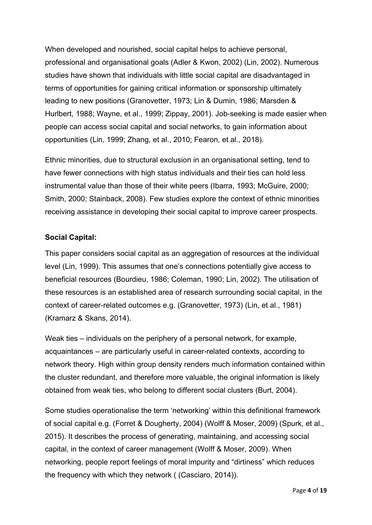When developed and nourished, social capital helps to achieve personal, professional and organisational goals (Adler & Kwon, 2002) (Lin, 2002). Numerous studies have shown that individuals with little social capital are disadvantaged in terms of opportunities for gaining critical information or sponsorship ultimately leading to new positions (Granovetter, 1973; Lin & Dumin, 1986; Marsden & Hurlbert, 1988; Wayne, et al., 1999; Zippay, 2001). Job-seeking is made easier when people can access social capital and social networks, to gain information about opportunities (Lin, 1999; Zhang, et al., 2010; Fearon, et al., 2018).

Ethnic minorities, due to structural exclusion in an organisational setting, tend to have fewer connections with high status individuals and their ties can hold less instrumental value than those of their white peers (Ibarra, 1993; McGuire, 2000; Smith, 2000; Stainback, 2008). Few studies explore the context of ethnic minorities receiving assistance in developing their social capital to improve career prospects.

## **Social Capital:**

This paper considers social capital as an aggregation of resources at the individual level (Lin, 1999). This assumes that one's connections potentially give access to beneficial resources (Bourdieu, 1986; Coleman, 1990; Lin, 2002). The utilisation of these resources is an established area of research surrounding social capital, in the context of career-related outcomes e.g. (Granovetter, 1973) (Lin, et al., 1981) (Kramarz & Skans, 2014).

Weak ties – individuals on the periphery of a personal network, for example, acquaintances – are particularly useful in career-related contexts, according to network theory. High within group density renders much information contained within the cluster redundant, and therefore more valuable, the original information is likely obtained from weak ties, who belong to different social clusters (Burt, 2004).

Some studies operationalise the term 'networking' within this definitional framework of social capital e.g. (Forret & Dougherty, 2004) (Wolff & Moser, 2009) (Spurk, et al., 2015). It describes the process of generating, maintaining, and accessing social capital, in the context of career management (Wolff & Moser, 2009). When networking, people report feelings of moral impurity and "dirtiness" which reduces the frequency with which they network ( (Casciaro, 2014)).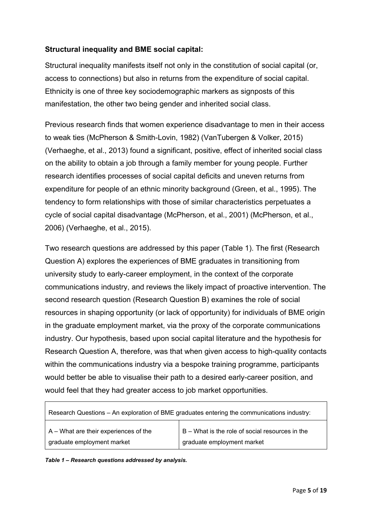## **Structural inequality and BME social capital:**

Structural inequality manifests itself not only in the constitution of social capital (or, access to connections) but also in returns from the expenditure of social capital. Ethnicity is one of three key sociodemographic markers as signposts of this manifestation, the other two being gender and inherited social class.

Previous research finds that women experience disadvantage to men in their access to weak ties (McPherson & Smith-Lovin, 1982) (VanTubergen & Volker, 2015) (Verhaeghe, et al., 2013) found a significant, positive, effect of inherited social class on the ability to obtain a job through a family member for young people. Further research identifies processes of social capital deficits and uneven returns from expenditure for people of an ethnic minority background (Green, et al., 1995). The tendency to form relationships with those of similar characteristics perpetuates a cycle of social capital disadvantage (McPherson, et al., 2001) (McPherson, et al., 2006) (Verhaeghe, et al., 2015).

Two research questions are addressed by this paper (Table 1). The first (Research Question A) explores the experiences of BME graduates in transitioning from university study to early-career employment, in the context of the corporate communications industry, and reviews the likely impact of proactive intervention. The second research question (Research Question B) examines the role of social resources in shaping opportunity (or lack of opportunity) for individuals of BME origin in the graduate employment market, via the proxy of the corporate communications industry. Our hypothesis, based upon social capital literature and the hypothesis for Research Question A, therefore, was that when given access to high-quality contacts within the communications industry via a bespoke training programme, participants would better be able to visualise their path to a desired early-career position, and would feel that they had greater access to job market opportunities.

| Research Questions - An exploration of BME graduates entering the communications industry: |                                                 |  |  |  |  |  |
|--------------------------------------------------------------------------------------------|-------------------------------------------------|--|--|--|--|--|
| A – What are their experiences of the                                                      | B - What is the role of social resources in the |  |  |  |  |  |
| graduate employment market                                                                 | graduate employment market                      |  |  |  |  |  |

*Table 1 – Research questions addressed by analysis.*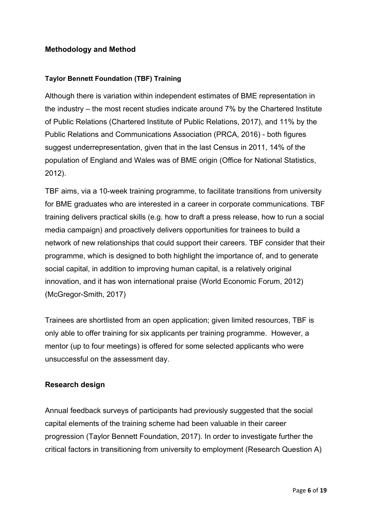## **Methodology and Method**

#### **Taylor Bennett Foundation (TBF) Training**

Although there is variation within independent estimates of BME representation in the industry – the most recent studies indicate around 7% by the Chartered Institute of Public Relations (Chartered Institute of Public Relations, 2017), and 11% by the Public Relations and Communications Association (PRCA, 2016) - both figures suggest underrepresentation, given that in the last Census in 2011, 14% of the population of England and Wales was of BME origin (Office for National Statistics, 2012).

TBF aims, via a 10-week training programme, to facilitate transitions from university for BME graduates who are interested in a career in corporate communications. TBF training delivers practical skills (e.g. how to draft a press release, how to run a social media campaign) and proactively delivers opportunities for trainees to build a network of new relationships that could support their careers. TBF consider that their programme, which is designed to both highlight the importance of, and to generate social capital, in addition to improving human capital, is a relatively original innovation, and it has won international praise (World Economic Forum, 2012) (McGregor-Smith, 2017)

Trainees are shortlisted from an open application; given limited resources, TBF is only able to offer training for six applicants per training programme. However, a mentor (up to four meetings) is offered for some selected applicants who were unsuccessful on the assessment day.

#### **Research design**

Annual feedback surveys of participants had previously suggested that the social capital elements of the training scheme had been valuable in their career progression (Taylor Bennett Foundation, 2017). In order to investigate further the critical factors in transitioning from university to employment (Research Question A)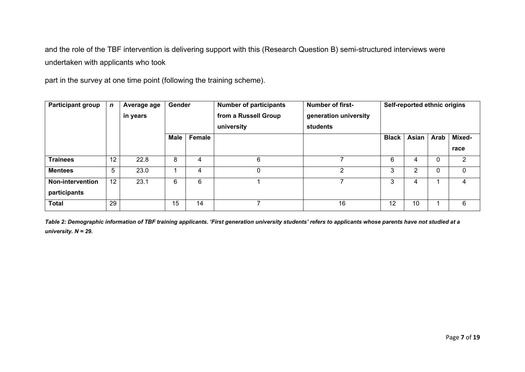and the role of the TBF intervention is delivering support with this (Research Question B) semi-structured interviews were undertaken with applicants who took

part in the survey at one time point (following the training scheme).

| <b>Participant group</b> | $\mathbf n$     | Average age<br>in years | Gender      |        | <b>Number of participants</b><br>from a Russell Group<br>university | <b>Number of first-</b><br>generation university<br>students | Self-reported ethnic origins |       |      |        |
|--------------------------|-----------------|-------------------------|-------------|--------|---------------------------------------------------------------------|--------------------------------------------------------------|------------------------------|-------|------|--------|
|                          |                 |                         | <b>Male</b> | Female |                                                                     |                                                              | <b>Black</b>                 | Asian | Arab | Mixed- |
|                          |                 |                         |             |        |                                                                     |                                                              |                              |       |      | race   |
| <b>Trainees</b>          | 12              | 22.8                    | 8           | 4      | 6                                                                   |                                                              | 6                            | 4     | 0    | 2      |
| <b>Mentees</b>           | $5\phantom{.0}$ | 23.0                    |             | 4      | $\mathbf{0}$                                                        | 2                                                            | 3                            | 2     | 0    | 0      |
| <b>Non-intervention</b>  | 12              | 23.1                    | 6           | 6      |                                                                     | ⇁                                                            | 3                            | 4     |      | 4      |
| participants             |                 |                         |             |        |                                                                     |                                                              |                              |       |      |        |
| <b>Total</b>             | 29              |                         | 15          | 14     |                                                                     | 16                                                           | 12                           | 10    |      | 6      |

*Table 2: Demographic information of TBF training applicants. 'First generation university students' refers to applicants whose parents have not studied at a university. N = 29.*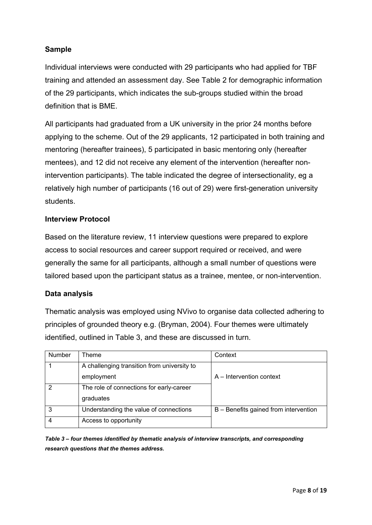# **Sample**

Individual interviews were conducted with 29 participants who had applied for TBF training and attended an assessment day. See Table 2 for demographic information of the 29 participants, which indicates the sub-groups studied within the broad definition that is BME.

All participants had graduated from a UK university in the prior 24 months before applying to the scheme. Out of the 29 applicants, 12 participated in both training and mentoring (hereafter trainees), 5 participated in basic mentoring only (hereafter mentees), and 12 did not receive any element of the intervention (hereafter nonintervention participants). The table indicated the degree of intersectionality, eg a relatively high number of participants (16 out of 29) were first-generation university students.

#### **Interview Protocol**

Based on the literature review, 11 interview questions were prepared to explore access to social resources and career support required or received, and were generally the same for all participants, although a small number of questions were tailored based upon the participant status as a trainee, mentee, or non-intervention.

#### **Data analysis**

Thematic analysis was employed using NVivo to organise data collected adhering to principles of grounded theory e.g. (Bryman, 2004). Four themes were ultimately identified, outlined in Table 3, and these are discussed in turn.

| <b>Number</b> | ⊺heme                                       | Context                               |
|---------------|---------------------------------------------|---------------------------------------|
|               | A challenging transition from university to |                                       |
|               | employment                                  | A – Intervention context              |
|               | The role of connections for early-career    |                                       |
|               | graduates                                   |                                       |
| 3             | Understanding the value of connections      | B - Benefits gained from intervention |
|               | Access to opportunity                       |                                       |

*Table 3 – four themes identified by thematic analysis of interview transcripts, and corresponding research questions that the themes address.*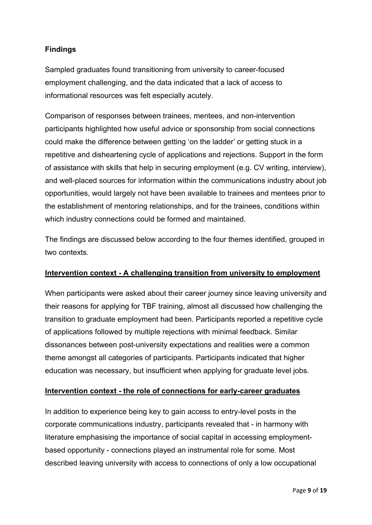# **Findings**

Sampled graduates found transitioning from university to career-focused employment challenging, and the data indicated that a lack of access to informational resources was felt especially acutely.

Comparison of responses between trainees, mentees, and non-intervention participants highlighted how useful advice or sponsorship from social connections could make the difference between getting 'on the ladder' or getting stuck in a repetitive and disheartening cycle of applications and rejections. Support in the form of assistance with skills that help in securing employment (e.g. CV writing, interview), and well-placed sources for information within the communications industry about job opportunities, would largely not have been available to trainees and mentees prior to the establishment of mentoring relationships, and for the trainees, conditions within which industry connections could be formed and maintained.

The findings are discussed below according to the four themes identified, grouped in two contexts.

#### **Intervention context - A challenging transition from university to employment**

When participants were asked about their career journey since leaving university and their reasons for applying for TBF training, almost all discussed how challenging the transition to graduate employment had been. Participants reported a repetitive cycle of applications followed by multiple rejections with minimal feedback. Similar dissonances between post-university expectations and realities were a common theme amongst all categories of participants. Participants indicated that higher education was necessary, but insufficient when applying for graduate level jobs.

#### **Intervention context - the role of connections for early-career graduates**

In addition to experience being key to gain access to entry-level posts in the corporate communications industry, participants revealed that - in harmony with literature emphasising the importance of social capital in accessing employmentbased opportunity - connections played an instrumental role for some. Most described leaving university with access to connections of only a low occupational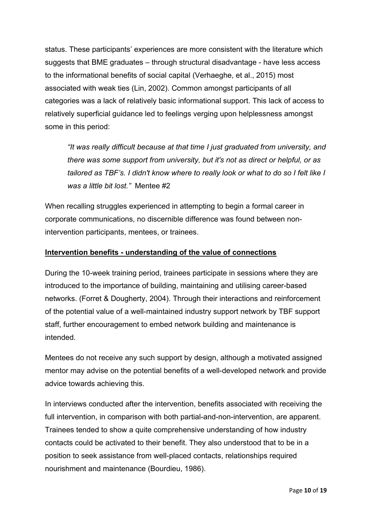status. These participants' experiences are more consistent with the literature which suggests that BME graduates – through structural disadvantage - have less access to the informational benefits of social capital (Verhaeghe, et al., 2015) most associated with weak ties (Lin, 2002). Common amongst participants of all categories was a lack of relatively basic informational support. This lack of access to relatively superficial guidance led to feelings verging upon helplessness amongst some in this period:

*"It was really difficult because at that time I just graduated from university, and there was some support from university, but it's not as direct or helpful, or as tailored as TBF's. I didn't know where to really look or what to do so I felt like I was a little bit lost."* Mentee #2

When recalling struggles experienced in attempting to begin a formal career in corporate communications, no discernible difference was found between nonintervention participants, mentees, or trainees.

## **Intervention benefits - understanding of the value of connections**

During the 10-week training period, trainees participate in sessions where they are introduced to the importance of building, maintaining and utilising career-based networks. (Forret & Dougherty, 2004). Through their interactions and reinforcement of the potential value of a well-maintained industry support network by TBF support staff, further encouragement to embed network building and maintenance is intended.

Mentees do not receive any such support by design, although a motivated assigned mentor may advise on the potential benefits of a well-developed network and provide advice towards achieving this.

In interviews conducted after the intervention, benefits associated with receiving the full intervention, in comparison with both partial-and-non-intervention, are apparent. Trainees tended to show a quite comprehensive understanding of how industry contacts could be activated to their benefit. They also understood that to be in a position to seek assistance from well-placed contacts, relationships required nourishment and maintenance (Bourdieu, 1986).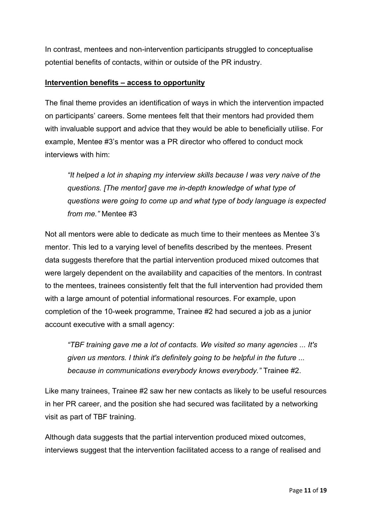In contrast, mentees and non-intervention participants struggled to conceptualise potential benefits of contacts, within or outside of the PR industry.

#### **Intervention benefits – access to opportunity**

The final theme provides an identification of ways in which the intervention impacted on participants' careers. Some mentees felt that their mentors had provided them with invaluable support and advice that they would be able to beneficially utilise. For example, Mentee #3's mentor was a PR director who offered to conduct mock interviews with him:

*"It helped a lot in shaping my interview skills because I was very naive of the questions. [The mentor] gave me in-depth knowledge of what type of questions were going to come up and what type of body language is expected from me."* Mentee #3

Not all mentors were able to dedicate as much time to their mentees as Mentee 3's mentor. This led to a varying level of benefits described by the mentees. Present data suggests therefore that the partial intervention produced mixed outcomes that were largely dependent on the availability and capacities of the mentors. In contrast to the mentees, trainees consistently felt that the full intervention had provided them with a large amount of potential informational resources. For example, upon completion of the 10-week programme, Trainee #2 had secured a job as a junior account executive with a small agency:

*"TBF training gave me a lot of contacts. We visited so many agencies ... It's given us mentors. I think it's definitely going to be helpful in the future ... because in communications everybody knows everybody."* Trainee #2.

Like many trainees, Trainee #2 saw her new contacts as likely to be useful resources in her PR career, and the position she had secured was facilitated by a networking visit as part of TBF training.

Although data suggests that the partial intervention produced mixed outcomes, interviews suggest that the intervention facilitated access to a range of realised and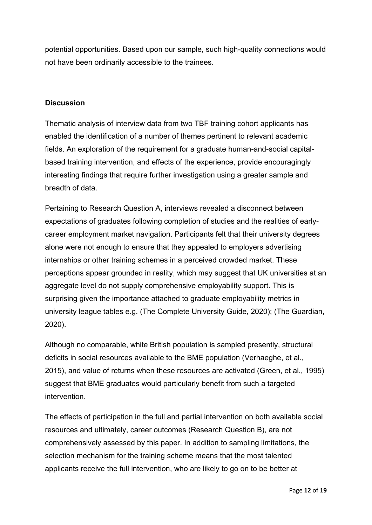potential opportunities. Based upon our sample, such high-quality connections would not have been ordinarily accessible to the trainees.

## **Discussion**

Thematic analysis of interview data from two TBF training cohort applicants has enabled the identification of a number of themes pertinent to relevant academic fields. An exploration of the requirement for a graduate human-and-social capitalbased training intervention, and effects of the experience, provide encouragingly interesting findings that require further investigation using a greater sample and breadth of data.

Pertaining to Research Question A, interviews revealed a disconnect between expectations of graduates following completion of studies and the realities of earlycareer employment market navigation. Participants felt that their university degrees alone were not enough to ensure that they appealed to employers advertising internships or other training schemes in a perceived crowded market. These perceptions appear grounded in reality, which may suggest that UK universities at an aggregate level do not supply comprehensive employability support. This is surprising given the importance attached to graduate employability metrics in university league tables e.g. (The Complete University Guide, 2020); (The Guardian, 2020).

Although no comparable, white British population is sampled presently, structural deficits in social resources available to the BME population (Verhaeghe, et al., 2015), and value of returns when these resources are activated (Green, et al., 1995) suggest that BME graduates would particularly benefit from such a targeted intervention.

The effects of participation in the full and partial intervention on both available social resources and ultimately, career outcomes (Research Question B), are not comprehensively assessed by this paper. In addition to sampling limitations, the selection mechanism for the training scheme means that the most talented applicants receive the full intervention, who are likely to go on to be better at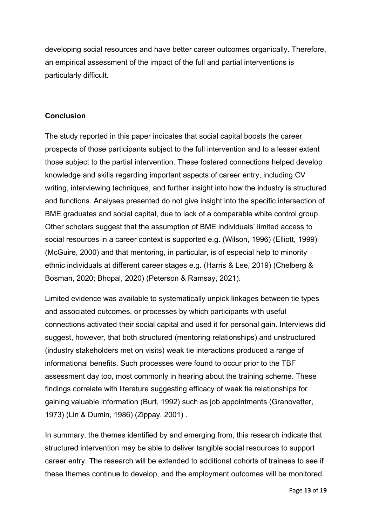developing social resources and have better career outcomes organically. Therefore, an empirical assessment of the impact of the full and partial interventions is particularly difficult.

#### **Conclusion**

The study reported in this paper indicates that social capital boosts the career prospects of those participants subject to the full intervention and to a lesser extent those subject to the partial intervention. These fostered connections helped develop knowledge and skills regarding important aspects of career entry, including CV writing, interviewing techniques, and further insight into how the industry is structured and functions. Analyses presented do not give insight into the specific intersection of BME graduates and social capital, due to lack of a comparable white control group. Other scholars suggest that the assumption of BME individuals' limited access to social resources in a career context is supported e.g. (Wilson, 1996) (Elliott, 1999) (McGuire, 2000) and that mentoring, in particular, is of especial help to minority ethnic individuals at different career stages e.g. (Harris & Lee, 2019) (Chelberg & Bosman, 2020; Bhopal, 2020) (Peterson & Ramsay, 2021).

Limited evidence was available to systematically unpick linkages between tie types and associated outcomes, or processes by which participants with useful connections activated their social capital and used it for personal gain. Interviews did suggest, however, that both structured (mentoring relationships) and unstructured (industry stakeholders met on visits) weak tie interactions produced a range of informational benefits. Such processes were found to occur prior to the TBF assessment day too, most commonly in hearing about the training scheme. These findings correlate with literature suggesting efficacy of weak tie relationships for gaining valuable information (Burt, 1992) such as job appointments (Granovetter, 1973) (Lin & Dumin, 1986) (Zippay, 2001) .

In summary, the themes identified by and emerging from, this research indicate that structured intervention may be able to deliver tangible social resources to support career entry. The research will be extended to additional cohorts of trainees to see if these themes continue to develop, and the employment outcomes will be monitored.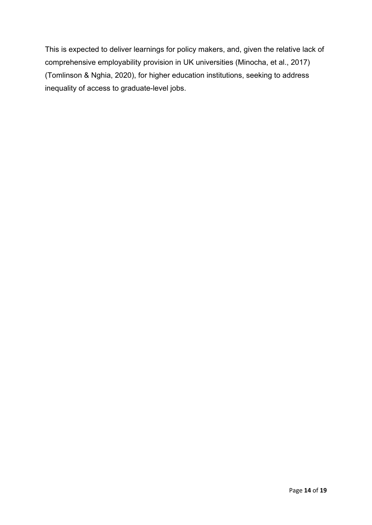This is expected to deliver learnings for policy makers, and, given the relative lack of comprehensive employability provision in UK universities (Minocha, et al., 2017) (Tomlinson & Nghia, 2020), for higher education institutions, seeking to address inequality of access to graduate-level jobs.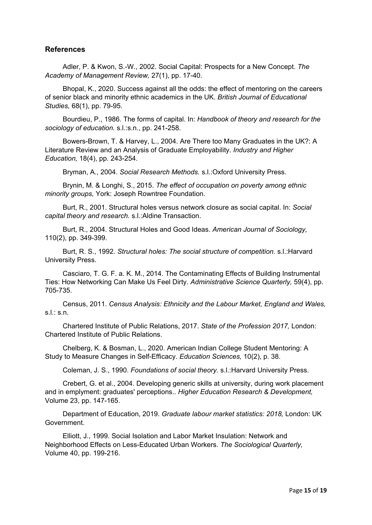#### **References**

Adler, P. & Kwon, S.-W., 2002. Social Capital: Prospects for a New Concept. *The Academy of Management Review,* 27(1), pp. 17-40.

Bhopal, K., 2020. Success against all the odds: the effect of mentoring on the careers of senior black and minority ethnic academics in the UK. *British Journal of Educational Studies,* 68(1), pp. 79-95.

Bourdieu, P., 1986. The forms of capital. In: *Handbook of theory and research for the sociology of education.* s.l.:s.n., pp. 241-258.

Bowers-Brown, T. & Harvey, L., 2004. Are There too Many Graduates in the UK?: A Literature Review and an Analysis of Graduate Employability. *Industry and Higher Education,* 18(4), pp. 243-254.

Bryman, A., 2004. *Social Research Methods.* s.l.:Oxford University Press.

Brynin, M. & Longhi, S., 2015. *The effect of occupation on poverty among ethnic minority groups,* York: Joseph Rowntree Foundation.

Burt, R., 2001. Structural holes versus network closure as social capital. In: *Social capital theory and research.* s.l.:Aldine Transaction.

Burt, R., 2004. Structural Holes and Good Ideas. *American Journal of Sociology,*  110(2), pp. 349-399.

Burt, R. S., 1992. *Structural holes: The social structure of competition.* s.l.:Harvard University Press.

Casciaro, T. G. F. a. K. M., 2014. The Contaminating Effects of Building Instrumental Ties: How Networking Can Make Us Feel Dirty. *Administrative Science Quarterly,* 59(4), pp. 705-735.

Census, 2011. *Census Analysis: Ethnicity and the Labour Market, England and Wales,*  s.l.: s.n.

Chartered Institute of Public Relations, 2017. *State of the Profession 2017,* London: Chartered Institute of Public Relations.

Chelberg, K. & Bosman, L., 2020. American Indian College Student Mentoring: A Study to Measure Changes in Self-Efficacy. *Education Sciences,* 10(2), p. 38.

Coleman, J. S., 1990. *Foundations of social theory.* s.l.:Harvard University Press.

Crebert, G. et al., 2004. Developing generic skills at university, during work placement and in emplyment: graduates' perceptions.. *Higher Education Research & Development,*  Volume 23, pp. 147-165.

Department of Education, 2019. *Graduate labour market statistics: 2018,* London: UK Government.

Elliott, J., 1999. Social Isolation and Labor Market Insulation: Network and Neighborhood Effects on Less-Educated Urban Workers. *The Sociological Quarterly,*  Volume 40, pp. 199-216.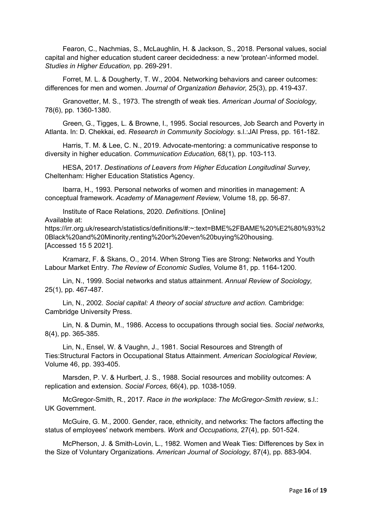Fearon, C., Nachmias, S., McLaughlin, H. & Jackson, S., 2018. Personal values, social capital and higher education student career decidedness: a new 'protean'-informed model. *Studies in Higher Education,* pp. 269-291.

Forret, M. L. & Dougherty, T. W., 2004. Networking behaviors and career outcomes: differences for men and women. *Journal of Organization Behavior,* 25(3), pp. 419-437.

Granovetter, M. S., 1973. The strength of weak ties. *American Journal of Sociology,*  78(6), pp. 1360-1380.

Green, G., Tigges, L. & Browne, I., 1995. Social resources, Job Search and Poverty in Atlanta. In: D. Chekkai, ed. *Research in Community Sociology.* s.l.:JAI Press, pp. 161-182.

Harris, T. M. & Lee, C. N., 2019. Advocate-mentoring: a communicative response to diversity in higher education. *Communication Education,* 68(1), pp. 103-113.

HESA, 2017. *Destinations of Leavers from Higher Education Longitudinal Survey,*  Cheltenham: Higher Education Statistics Agency.

Ibarra, H., 1993. Personal networks of women and minorities in management: A conceptual framework. *Academy of Management Review,* Volume 18, pp. 56-87.

Institute of Race Relations, 2020. *Definitions.* [Online]

Available at:

https://irr.org.uk/research/statistics/definitions/#:~:text=BME%2FBAME%20%E2%80%93%2 0Black%20and%20Minority,renting%20or%20even%20buying%20housing. [Accessed 15 5 2021].

Kramarz, F. & Skans, O., 2014. When Strong Ties are Strong: Networks and Youth Labour Market Entry. *The Review of Economic Sudies,* Volume 81, pp. 1164-1200.

Lin, N., 1999. Social networks and status attainment. *Annual Review of Sociology,*  25(1), pp. 467-487.

Lin, N., 2002. *Social capital: A theory of social structure and action.* Cambridge: Cambridge University Press.

Lin, N. & Dumin, M., 1986. Access to occupations through social ties. *Social networks,*  8(4), pp. 365-385.

Lin, N., Ensel, W. & Vaughn, J., 1981. Social Resources and Strength of Ties:Structural Factors in Occupational Status Attainment. *American Sociological Review,*  Volume 46, pp. 393-405.

Marsden, P. V. & Hurlbert, J. S., 1988. Social resources and mobility outcomes: A replication and extension. *Social Forces,* 66(4), pp. 1038-1059.

McGregor-Smith, R., 2017. *Race in the workplace: The McGregor-Smith review,* s.l.: UK Government.

McGuire, G. M., 2000. Gender, race, ethnicity, and networks: The factors affecting the status of employees' network members. *Work and Occupations,* 27(4), pp. 501-524.

McPherson, J. & Smith-Lovin, L., 1982. Women and Weak Ties: Differences by Sex in the Size of Voluntary Organizations. *American Journal of Sociology,* 87(4), pp. 883-904.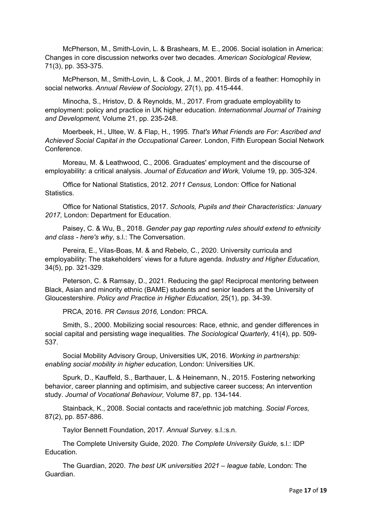McPherson, M., Smith-Lovin, L. & Brashears, M. E., 2006. Social isolation in America: Changes in core discussion networks over two decades. *American Sociological Review,*  71(3), pp. 353-375.

McPherson, M., Smith-Lovin, L. & Cook, J. M., 2001. Birds of a feather: Homophily in social networks. *Annual Review of Sociology,* 27(1), pp. 415-444.

Minocha, S., Hristov, D. & Reynolds, M., 2017. From graduate employability to employment: policy and practice in UK higher education. *Internationmal Journal of Training and Development,* Volume 21, pp. 235-248.

Moerbeek, H., Ultee, W. & Flap, H., 1995. *That's What Friends are For: Ascribed and Achieved Social Capital in the Occupational Career.* London, Fifth European Social Network Conference.

Moreau, M. & Leathwood, C., 2006. Graduates' employment and the discourse of employability: a critical analysis. *Journal of Education and Work,* Volume 19, pp. 305-324.

Office for National Statistics, 2012. *2011 Census,* London: Office for National Statistics.

Office for National Statistics, 2017. *Schools, Pupils and their Characteristics: January 2017,* London: Department for Education.

Paisey, C. & Wu, B., 2018. *Gender pay gap reporting rules should extend to ethnicity and class - here's why,* s.l.: The Conversation.

Pereira, E., Vilas-Boas, M. & and Rebelo, C., 2020. University curricula and employability: The stakeholders' views for a future agenda. *Industry and Higher Education,*  34(5), pp. 321-329.

Peterson, C. & Ramsay, D., 2021. Reducing the gap! Reciprocal mentoring between Black, Asian and minority ethnic (BAME) students and senior leaders at the University of Gloucestershire. *Policy and Practice in Higher Education,* 25(1), pp. 34-39.

PRCA, 2016. *PR Census 2016,* London: PRCA.

Smith, S., 2000. Mobilizing social resources: Race, ethnic, and gender differences in social capital and persisting wage inequalities. *The Sociological Quarterly,* 41(4), pp. 509- 537.

Social Mobility Advisory Group, Universities UK, 2016. *Working in partnership: enabling social mobility in higher education,* London: Universities UK.

Spurk, D., Kauffeld, S., Barthauer, L. & Heinemann, N., 2015. Fostering networking behavior, career planning and optimisim, and subjective career success; An intervention study. *Journal of Vocational Behaviour,* Volume 87, pp. 134-144.

Stainback, K., 2008. Social contacts and race/ethnic job matching. *Social Forces,*  87(2), pp. 857-886.

Taylor Bennett Foundation, 2017. *Annual Survey.* s.l.:s.n.

The Complete University Guide, 2020. *The Complete University Guide,* s.l.: IDP Education.

The Guardian, 2020. *The best UK universities 2021 – league table,* London: The Guardian.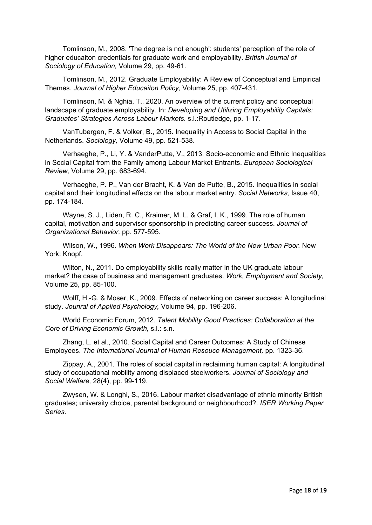Tomlinson, M., 2008. 'The degree is not enough': students' perception of the role of higher educaiton credentials for graduate work and employability. *British Journal of Sociology of Education,* Volume 29, pp. 49-61.

Tomlinson, M., 2012. Graduate Employability: A Review of Conceptual and Empirical Themes. *Journal of Higher Educaiton Policy,* Volume 25, pp. 407-431.

Tomlinson, M. & Nghia, T., 2020. An overview of the current policy and conceptual landscape of graduate employability. In: *Developing and Utilizing Employability Capitals: Graduates' Strategies Across Labour Markets.* s.l.:Routledge, pp. 1-17.

VanTubergen, F. & Volker, B., 2015. Inequality in Access to Social Capital in the Netherlands. *Sociology,* Volume 49, pp. 521-538.

Verhaeghe, P., Li, Y. & VanderPutte, V., 2013. Socio-economic and Ethnic Inequalities in Social Capital from the Family among Labour Market Entrants. *European Sociological Review,* Volume 29, pp. 683-694.

Verhaeghe, P. P., Van der Bracht, K. & Van de Putte, B., 2015. Inequalities in social capital and their longitudinal effects on the labour market entry. *Social Networks,* Issue 40, pp. 174-184.

Wayne, S. J., Liden, R. C., Kraimer, M. L. & Graf, I. K., 1999. The role of human capital, motivation and supervisor sponsorship in predicting career success. *Journal of Organizational Behavior,* pp. 577-595.

Wilson, W., 1996. *When Work Disappears: The World of the New Urban Poor.* New York: Knopf.

Wilton, N., 2011. Do employability skills really matter in the UK graduate labour market? the case of business and management graduates. *Work, Employment and Society,*  Volume 25, pp. 85-100.

Wolff, H.-G. & Moser, K., 2009. Effects of networking on career success: A longitudinal study. *Jounral of Applied Psychology,* Volume 94, pp. 196-206.

World Economic Forum, 2012. *Talent Mobility Good Practices: Collaboration at the Core of Driving Economic Growth,* s.l.: s.n.

Zhang, L. et al., 2010. Social Capital and Career Outcomes: A Study of Chinese Employees. *The International Journal of Human Resouce Management,* pp. 1323-36.

Zippay, A., 2001. The roles of social capital in reclaiming human capital: A longitudinal study of occupational mobility among displaced steelworkers. *Journal of Sociology and Social Welfare,* 28(4), pp. 99-119.

Zwysen, W. & Longhi, S., 2016. Labour market disadvantage of ethnic minority British graduates; university choice, parental background or neighbourhood?. *ISER Working Paper Series.*